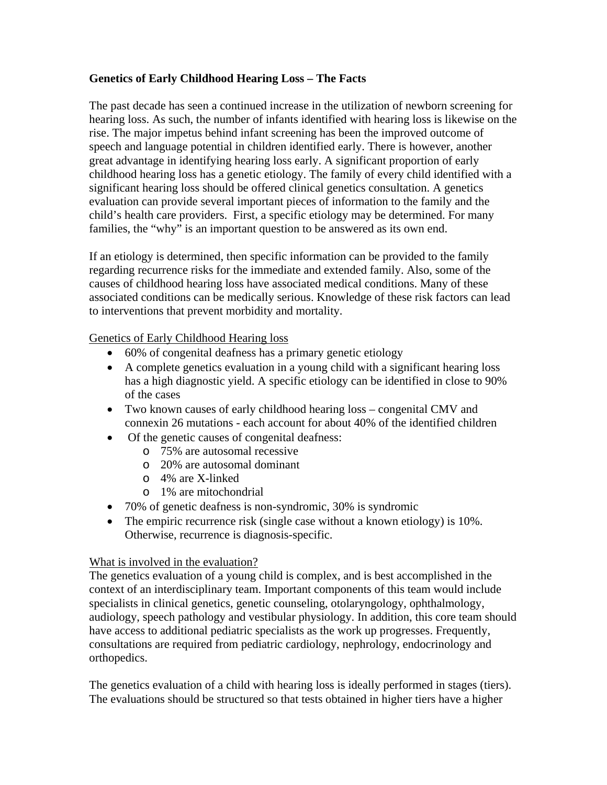# **Genetics of Early Childhood Hearing Loss – The Facts**

The past decade has seen a continued increase in the utilization of newborn screening for hearing loss. As such, the number of infants identified with hearing loss is likewise on the rise. The major impetus behind infant screening has been the improved outcome of speech and language potential in children identified early. There is however, another great advantage in identifying hearing loss early. A significant proportion of early childhood hearing loss has a genetic etiology. The family of every child identified with a significant hearing loss should be offered clinical genetics consultation. A genetics evaluation can provide several important pieces of information to the family and the child's health care providers. First, a specific etiology may be determined. For many families, the "why" is an important question to be answered as its own end.

If an etiology is determined, then specific information can be provided to the family regarding recurrence risks for the immediate and extended family. Also, some of the causes of childhood hearing loss have associated medical conditions. Many of these associated conditions can be medically serious. Knowledge of these risk factors can lead to interventions that prevent morbidity and mortality.

## Genetics of Early Childhood Hearing loss

- 60% of congenital deafness has a primary genetic etiology
- A complete genetics evaluation in a young child with a significant hearing loss has a high diagnostic yield. A specific etiology can be identified in close to 90% of the cases
- Two known causes of early childhood hearing loss congenital CMV and connexin 26 mutations - each account for about 40% of the identified children
- Of the genetic causes of congenital deafness:
	- o 75% are autosomal recessive
	- o 20% are autosomal dominant
	- o 4% are X-linked
	- o 1% are mitochondrial
- 70% of genetic deafness is non-syndromic, 30% is syndromic
- The empiric recurrence risk (single case without a known etiology) is 10%. Otherwise, recurrence is diagnosis-specific.

## What is involved in the evaluation?

The genetics evaluation of a young child is complex, and is best accomplished in the context of an interdisciplinary team. Important components of this team would include specialists in clinical genetics, genetic counseling, otolaryngology, ophthalmology, audiology, speech pathology and vestibular physiology. In addition, this core team should have access to additional pediatric specialists as the work up progresses. Frequently, consultations are required from pediatric cardiology, nephrology, endocrinology and orthopedics.

The genetics evaluation of a child with hearing loss is ideally performed in stages (tiers). The evaluations should be structured so that tests obtained in higher tiers have a higher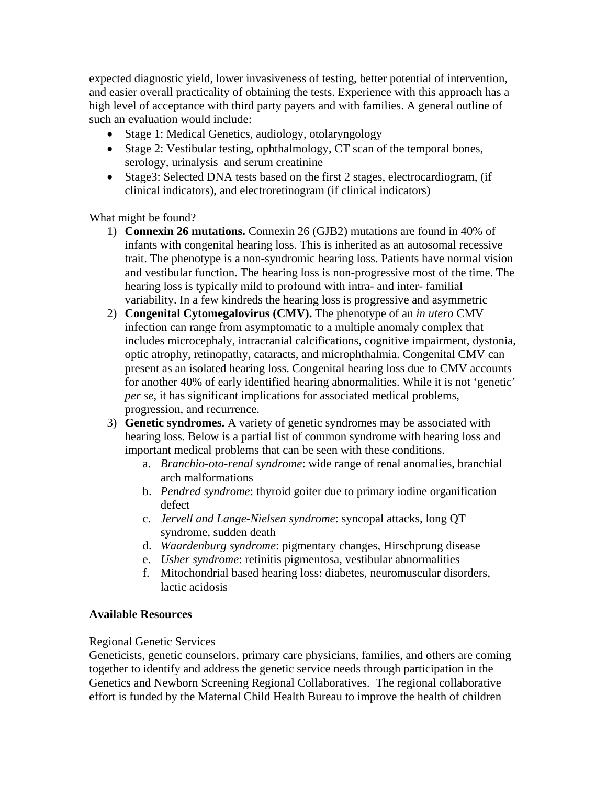expected diagnostic yield, lower invasiveness of testing, better potential of intervention, and easier overall practicality of obtaining the tests. Experience with this approach has a high level of acceptance with third party payers and with families. A general outline of such an evaluation would include:

- Stage 1: Medical Genetics, audiology, otolaryngology
- Stage 2: Vestibular testing, ophthalmology, CT scan of the temporal bones, serology, urinalysis and serum creatinine
- Stage3: Selected DNA tests based on the first 2 stages, electrocardiogram, (if clinical indicators), and electroretinogram (if clinical indicators)

## What might be found?

- 1) **Connexin 26 mutations.** Connexin 26 (GJB2) mutations are found in 40% of infants with congenital hearing loss. This is inherited as an autosomal recessive trait. The phenotype is a non-syndromic hearing loss. Patients have normal vision and vestibular function. The hearing loss is non-progressive most of the time. The hearing loss is typically mild to profound with intra- and inter- familial variability. In a few kindreds the hearing loss is progressive and asymmetric
- 2) **Congenital Cytomegalovirus (CMV).** The phenotype of an *in utero* CMV infection can range from asymptomatic to a multiple anomaly complex that includes microcephaly, intracranial calcifications, cognitive impairment, dystonia, optic atrophy, retinopathy, cataracts, and microphthalmia. Congenital CMV can present as an isolated hearing loss. Congenital hearing loss due to CMV accounts for another 40% of early identified hearing abnormalities. While it is not 'genetic' *per se*, it has significant implications for associated medical problems, progression, and recurrence.
- 3) **Genetic syndromes.** A variety of genetic syndromes may be associated with hearing loss. Below is a partial list of common syndrome with hearing loss and important medical problems that can be seen with these conditions.
	- a. *Branchio-oto-renal syndrome*: wide range of renal anomalies, branchial arch malformations
	- b. *Pendred syndrome*: thyroid goiter due to primary iodine organification defect
	- c. *Jervell and Lange-Nielsen syndrome*: syncopal attacks, long QT syndrome, sudden death
	- d. *Waardenburg syndrome*: pigmentary changes, Hirschprung disease
	- e. *Usher syndrome*: retinitis pigmentosa, vestibular abnormalities
	- f. Mitochondrial based hearing loss: diabetes, neuromuscular disorders, lactic acidosis

## **Available Resources**

## Regional Genetic Services

Geneticists, genetic counselors, primary care physicians, families, and others are coming together to identify and address the genetic service needs through participation in the Genetics and Newborn Screening Regional Collaboratives. The regional collaborative effort is funded by the Maternal Child Health Bureau to improve the health of children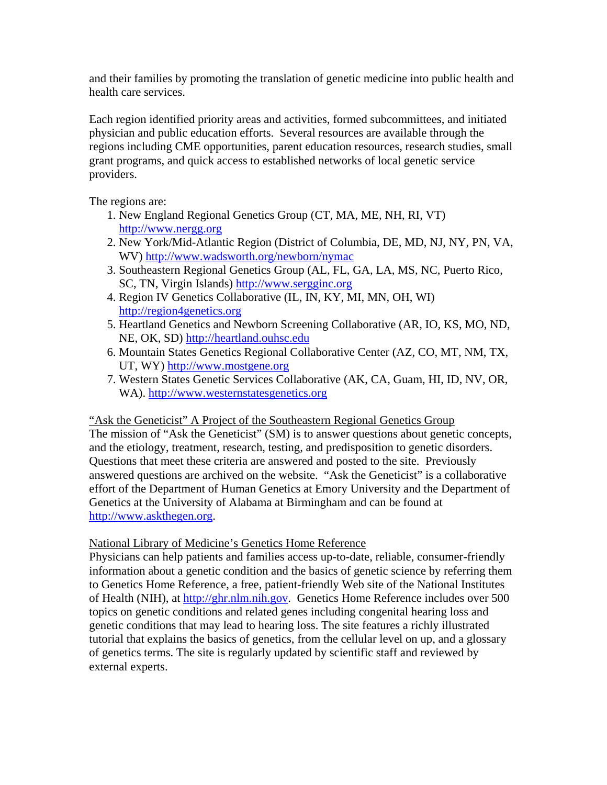and their families by promoting the translation of genetic medicine into public health and health care services.

Each region identified priority areas and activities, formed subcommittees, and initiated physician and public education efforts. Several resources are available through the regions including CME opportunities, parent education resources, research studies, small grant programs, and quick access to established networks of local genetic service providers.

The regions are:

- 1. New England Regional Genetics Group (CT, MA, ME, NH, RI, VT) [http://www.nergg.org](http://www.nergg.org/)
- 2. New York/Mid-Atlantic Region (District of Columbia, DE, MD, NJ, NY, PN, VA, WV) <http://www.wadsworth.org/newborn/nymac>
- 3. Southeastern Regional Genetics Group (AL, FL, GA, LA, MS, NC, Puerto Rico, SC, TN, Virgin Islands) [http://www.sergginc.org](http://www.sergginc.org/)
- 4. Region IV Genetics Collaborative (IL, IN, KY, MI, MN, OH, WI) [http://region4genetics.org](http://region4genetics.org/)
- 5. Heartland Genetics and Newborn Screening Collaborative (AR, IO, KS, MO, ND, NE, OK, SD) [http://heartland.ouhsc.edu](http://heartland.ouhsc.edu/)
- 6. Mountain States Genetics Regional Collaborative Center (AZ, CO, MT, NM, TX, UT, WY) [http://www.mostgene.org](http://www.mostgene.org/)
- 7. Western States Genetic Services Collaborative (AK, CA, Guam, HI, ID, NV, OR, WA). [http://www.westernstatesgenetics.org](http://www.westernstatesgenetics.org/)

## "Ask the Geneticist" A Project of the Southeastern Regional Genetics Group

The mission of "Ask the Geneticist" (SM) is to answer questions about genetic concepts, and the etiology, treatment, research, testing, and predisposition to genetic disorders. Questions that meet these criteria are answered and posted to the site. Previously answered questions are archived on the website. "Ask the Geneticist" is a collaborative effort of the Department of Human Genetics at Emory University and the Department of Genetics at the University of Alabama at Birmingham and can be found at [http://www.askthegen.org.](http://www.askthegen.org/)

## National Library of Medicine's Genetics Home Reference

Physicians can help patients and families access up-to-date, reliable, consumer-friendly information about a genetic condition and the basics of genetic science by referring them to Genetics Home Reference, a free, patient-friendly Web site of the National Institutes of Health (NIH), at [http://ghr.nlm.nih.gov.](http://ghr.nlm.nih.gov/) Genetics Home Reference includes over 500 topics on genetic conditions and related genes including congenital hearing loss and genetic conditions that may lead to hearing loss. The site features a richly illustrated tutorial that explains the basics of genetics, from the cellular level on up, and a glossary of genetics terms. The site is regularly updated by scientific staff and reviewed by external experts.